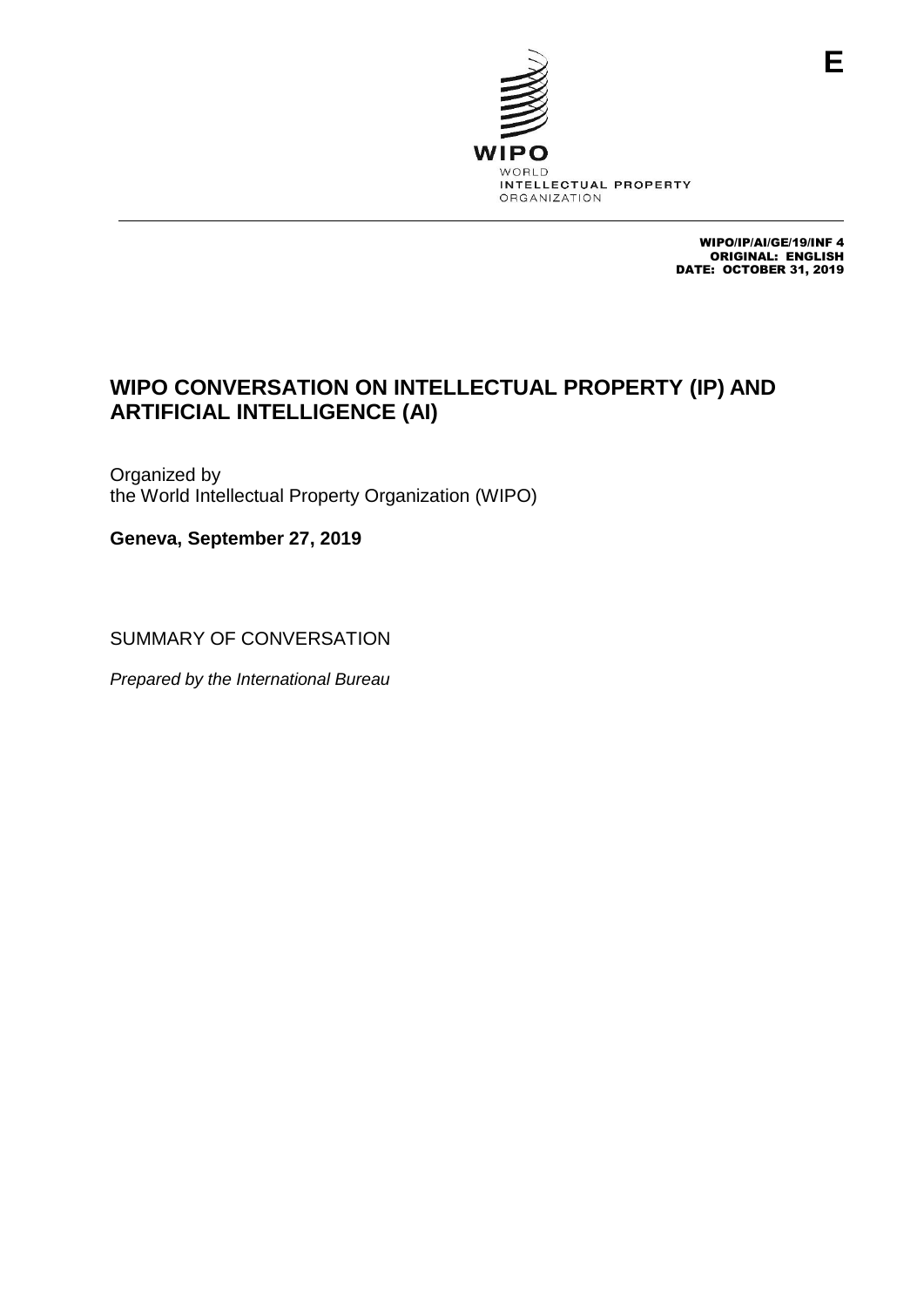

WIPO/IP/AI/GE/19/INF 4 ORIGINAL: ENGLISH DATE: OCTOBER 31, 2019

# **WIPO CONVERSATION ON INTELLECTUAL PROPERTY (IP) AND ARTIFICIAL INTELLIGENCE (AI)**

Organized by the World Intellectual Property Organization (WIPO)

**Geneva, September 27, 2019**

SUMMARY OF CONVERSATION

*Prepared by the International Bureau*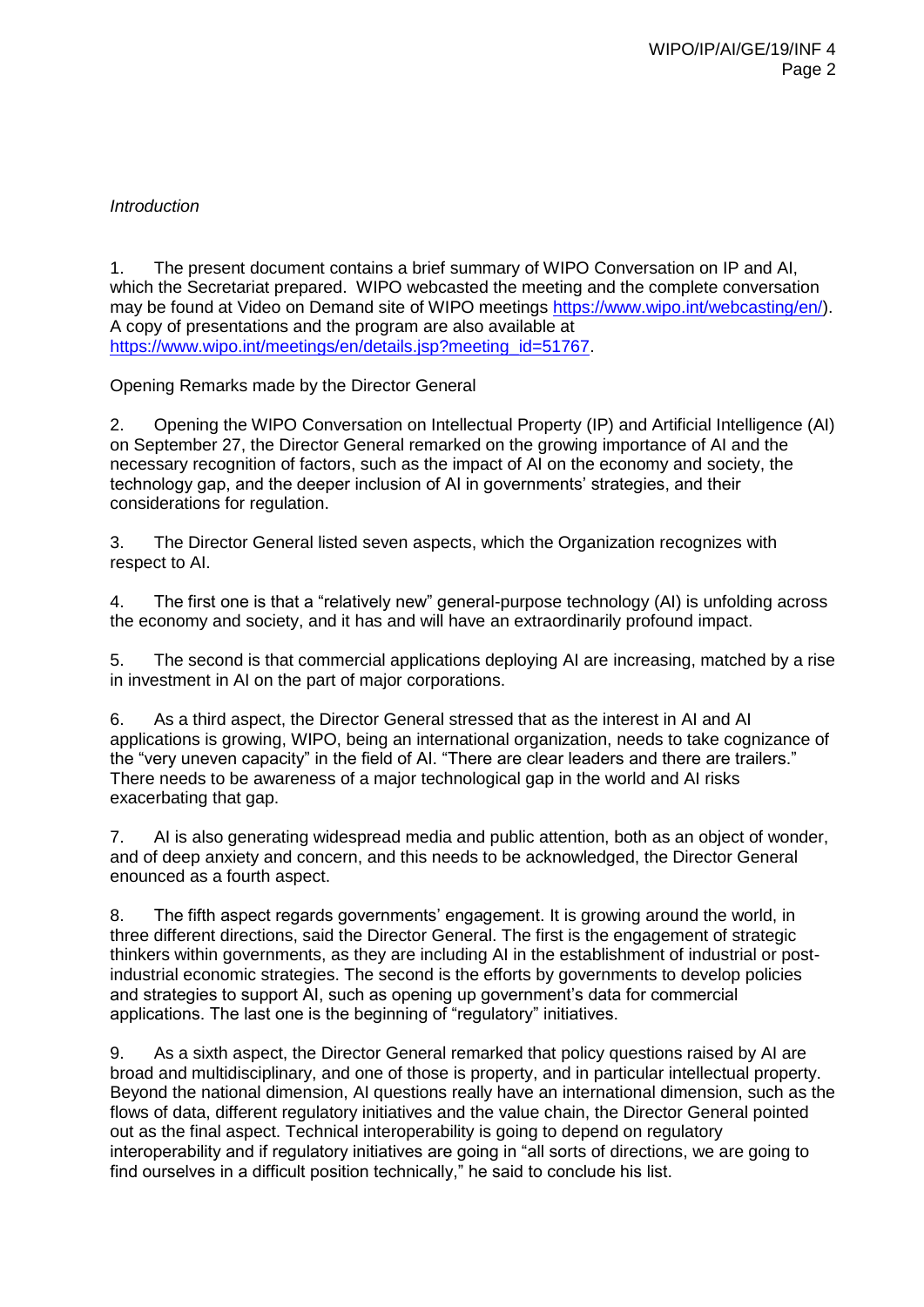## *Introduction*

1. The present document contains a brief summary of WIPO Conversation on IP and AI, which the Secretariat prepared. WIPO webcasted the meeting and the complete conversation may be found at Video on Demand site of WIPO meetings [https://www.wipo.int/webcasting/en/\)](https://www.wipo.int/webcasting/en/). A copy of presentations and the program are also available at [https://www.wipo.int/meetings/en/details.jsp?meeting\\_id=51767.](https://www.wipo.int/meetings/en/details.jsp?meeting_id=51767)

Opening Remarks made by the Director General

2. Opening the WIPO Conversation on Intellectual Property (IP) and Artificial Intelligence (AI) on September 27, the Director General remarked on the growing importance of AI and the necessary recognition of factors, such as the impact of AI on the economy and society, the technology gap, and the deeper inclusion of AI in governments' strategies, and their considerations for regulation.

3. The Director General listed seven aspects, which the Organization recognizes with respect to AI.

4. The first one is that a "relatively new" general-purpose technology (AI) is unfolding across the economy and society, and it has and will have an extraordinarily profound impact.

5. The second is that commercial applications deploying AI are increasing, matched by a rise in investment in AI on the part of major corporations.

6. As a third aspect, the Director General stressed that as the interest in AI and AI applications is growing, WIPO, being an international organization, needs to take cognizance of the "very uneven capacity" in the field of AI. "There are clear leaders and there are trailers." There needs to be awareness of a major technological gap in the world and AI risks exacerbating that gap.

7. AI is also generating widespread media and public attention, both as an object of wonder, and of deep anxiety and concern, and this needs to be acknowledged, the Director General enounced as a fourth aspect.

8. The fifth aspect regards governments' engagement. It is growing around the world, in three different directions, said the Director General. The first is the engagement of strategic thinkers within governments, as they are including AI in the establishment of industrial or postindustrial economic strategies. The second is the efforts by governments to develop policies and strategies to support AI, such as opening up government's data for commercial applications. The last one is the beginning of "regulatory" initiatives.

9. As a sixth aspect, the Director General remarked that policy questions raised by AI are broad and multidisciplinary, and one of those is property, and in particular intellectual property. Beyond the national dimension, AI questions really have an international dimension, such as the flows of data, different regulatory initiatives and the value chain, the Director General pointed out as the final aspect. Technical interoperability is going to depend on regulatory interoperability and if regulatory initiatives are going in "all sorts of directions, we are going to find ourselves in a difficult position technically," he said to conclude his list.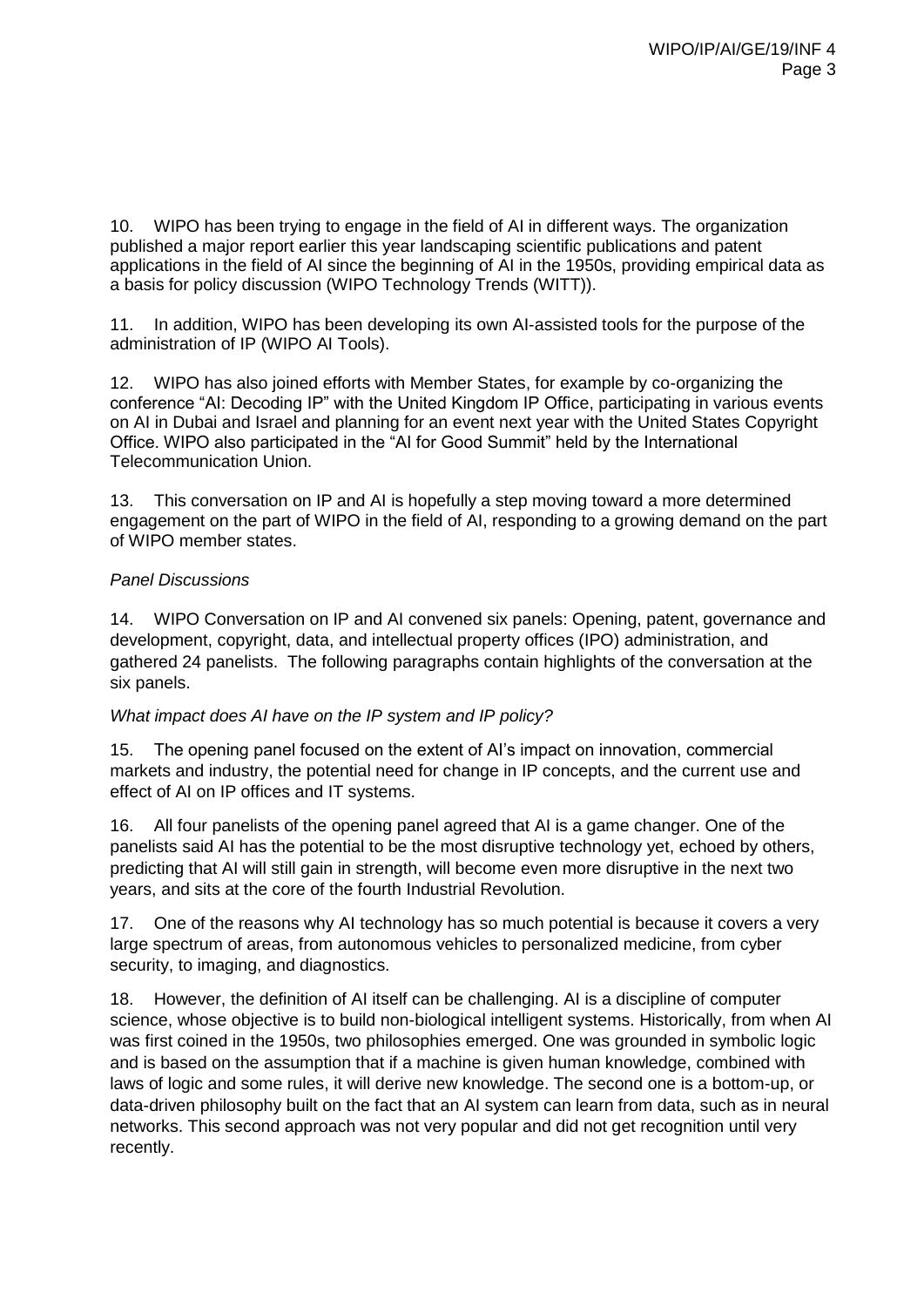10. WIPO has been trying to engage in the field of AI in different ways. The organization published a major report earlier this year landscaping scientific publications and patent applications in the field of AI since the beginning of AI in the 1950s, providing empirical data as a basis for policy discussion (WIPO Technology Trends (WITT)).

11. In addition, WIPO has been developing its own AI-assisted tools for the purpose of the administration of IP (WIPO AI Tools).

12. WIPO has also joined efforts with Member States, for example by co-organizing the conference "AI: Decoding IP" with the United Kingdom IP Office, participating in various events on AI in Dubai and Israel and planning for an event next year with the United States Copyright Office. WIPO also participated in the "AI for Good Summit" held by the International Telecommunication Union.

13. This conversation on IP and AI is hopefully a step moving toward a more determined engagement on the part of WIPO in the field of AI, responding to a growing demand on the part of WIPO member states.

#### *Panel Discussions*

14. WIPO Conversation on IP and AI convened six panels: Opening, patent, governance and development, copyright, data, and intellectual property offices (IPO) administration, and gathered 24 panelists. The following paragraphs contain highlights of the conversation at the six panels.

#### *What impact does AI have on the IP system and IP policy?*

15. The opening panel focused on the extent of AI's impact on innovation, commercial markets and industry, the potential need for change in IP concepts, and the current use and effect of AI on IP offices and IT systems.

16. All four panelists of the opening panel agreed that AI is a game changer. One of the panelists said AI has the potential to be the most disruptive technology yet, echoed by others, predicting that AI will still gain in strength, will become even more disruptive in the next two years, and sits at the core of the fourth Industrial Revolution.

17. One of the reasons why AI technology has so much potential is because it covers a very large spectrum of areas, from autonomous vehicles to personalized medicine, from cyber security, to imaging, and diagnostics.

18. However, the definition of AI itself can be challenging. AI is a discipline of computer science, whose objective is to build non-biological intelligent systems. Historically, from when AI was first coined in the 1950s, two philosophies emerged. One was grounded in symbolic logic and is based on the assumption that if a machine is given human knowledge, combined with laws of logic and some rules, it will derive new knowledge. The second one is a bottom-up, or data-driven philosophy built on the fact that an AI system can learn from data, such as in neural networks. This second approach was not very popular and did not get recognition until very recently.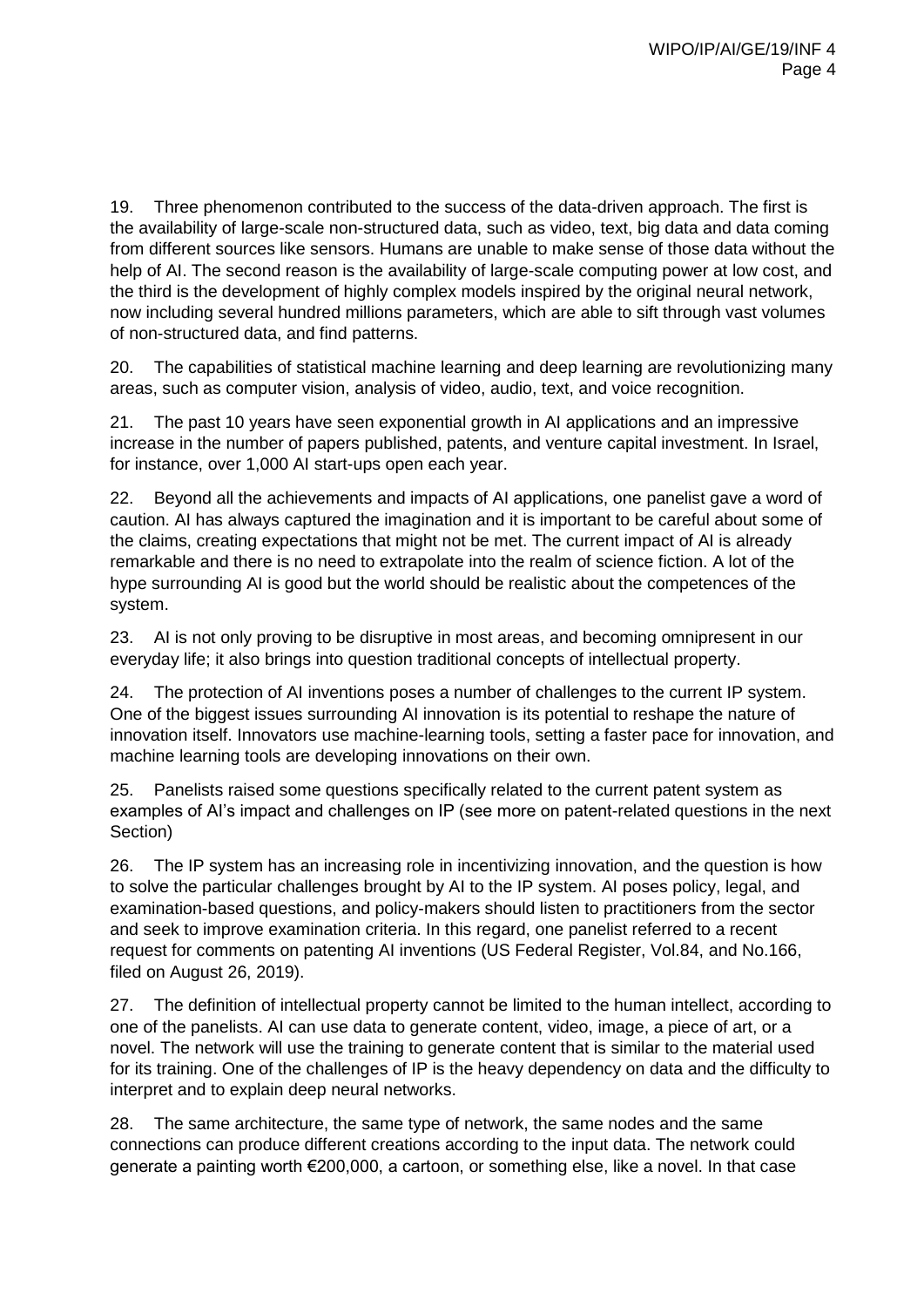19. Three phenomenon contributed to the success of the data-driven approach. The first is the availability of large-scale non-structured data, such as video, text, big data and data coming from different sources like sensors. Humans are unable to make sense of those data without the help of AI. The second reason is the availability of large-scale computing power at low cost, and the third is the development of highly complex models inspired by the original neural network, now including several hundred millions parameters, which are able to sift through vast volumes of non-structured data, and find patterns.

20. The capabilities of statistical machine learning and deep learning are revolutionizing many areas, such as computer vision, analysis of video, audio, text, and voice recognition.

21. The past 10 years have seen exponential growth in AI applications and an impressive increase in the number of papers published, patents, and venture capital investment. In Israel, for instance, over 1,000 AI start-ups open each year.

22. Beyond all the achievements and impacts of AI applications, one panelist gave a word of caution. AI has always captured the imagination and it is important to be careful about some of the claims, creating expectations that might not be met. The current impact of AI is already remarkable and there is no need to extrapolate into the realm of science fiction. A lot of the hype surrounding AI is good but the world should be realistic about the competences of the system.

23. AI is not only proving to be disruptive in most areas, and becoming omnipresent in our everyday life; it also brings into question traditional concepts of intellectual property.

24. The protection of AI inventions poses a number of challenges to the current IP system. One of the biggest issues surrounding AI innovation is its potential to reshape the nature of innovation itself. Innovators use machine-learning tools, setting a faster pace for innovation, and machine learning tools are developing innovations on their own.

25. Panelists raised some questions specifically related to the current patent system as examples of AI's impact and challenges on IP (see more on patent-related questions in the next Section)

26. The IP system has an increasing role in incentivizing innovation, and the question is how to solve the particular challenges brought by AI to the IP system. AI poses policy, legal, and examination-based questions, and policy-makers should listen to practitioners from the sector and seek to improve examination criteria. In this regard, one panelist referred to a recent request for comments on patenting AI inventions (US Federal Register, Vol.84, and No.166, filed on August 26, 2019).

27. The definition of intellectual property cannot be limited to the human intellect, according to one of the panelists. AI can use data to generate content, video, image, a piece of art, or a novel. The network will use the training to generate content that is similar to the material used for its training. One of the challenges of IP is the heavy dependency on data and the difficulty to interpret and to explain deep neural networks.

28. The same architecture, the same type of network, the same nodes and the same connections can produce different creations according to the input data. The network could generate a painting worth €200,000, a cartoon, or something else, like a novel. In that case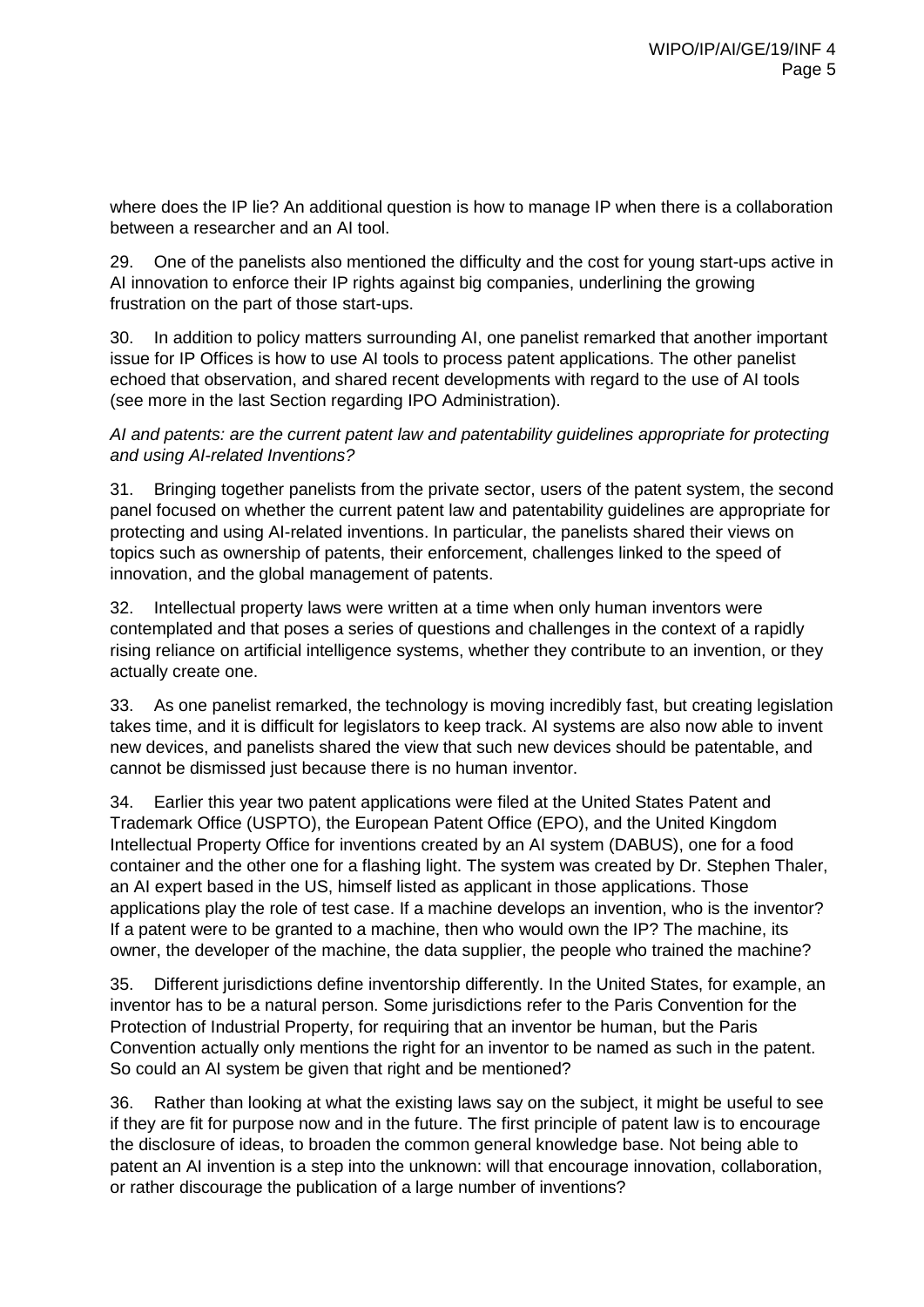where does the IP lie? An additional question is how to manage IP when there is a collaboration between a researcher and an AI tool.

29. One of the panelists also mentioned the difficulty and the cost for young start-ups active in AI innovation to enforce their IP rights against big companies, underlining the growing frustration on the part of those start-ups.

30. In addition to policy matters surrounding AI, one panelist remarked that another important issue for IP Offices is how to use AI tools to process patent applications. The other panelist echoed that observation, and shared recent developments with regard to the use of AI tools (see more in the last Section regarding IPO Administration).

*AI and patents: are the current patent law and patentability guidelines appropriate for protecting and using AI-related Inventions?*

31. Bringing together panelists from the private sector, users of the patent system, the second panel focused on whether the current patent law and patentability guidelines are appropriate for protecting and using AI-related inventions. In particular, the panelists shared their views on topics such as ownership of patents, their enforcement, challenges linked to the speed of innovation, and the global management of patents.

32. Intellectual property laws were written at a time when only human inventors were contemplated and that poses a series of questions and challenges in the context of a rapidly rising reliance on artificial intelligence systems, whether they contribute to an invention, or they actually create one.

33. As one panelist remarked, the technology is moving incredibly fast, but creating legislation takes time, and it is difficult for legislators to keep track. AI systems are also now able to invent new devices, and panelists shared the view that such new devices should be patentable, and cannot be dismissed just because there is no human inventor.

34. Earlier this year two patent applications were filed at the United States Patent and Trademark Office (USPTO), the European Patent Office (EPO), and the United Kingdom Intellectual Property Office for inventions created by an AI system (DABUS), one for a food container and the other one for a flashing light. The system was created by Dr. Stephen Thaler, an AI expert based in the US, himself listed as applicant in those applications. Those applications play the role of test case. If a machine develops an invention, who is the inventor? If a patent were to be granted to a machine, then who would own the IP? The machine, its owner, the developer of the machine, the data supplier, the people who trained the machine?

35. Different jurisdictions define inventorship differently. In the United States, for example, an inventor has to be a natural person. Some jurisdictions refer to the Paris Convention for the Protection of Industrial Property, for requiring that an inventor be human, but the Paris Convention actually only mentions the right for an inventor to be named as such in the patent. So could an AI system be given that right and be mentioned?

36. Rather than looking at what the existing laws say on the subject, it might be useful to see if they are fit for purpose now and in the future. The first principle of patent law is to encourage the disclosure of ideas, to broaden the common general knowledge base. Not being able to patent an AI invention is a step into the unknown: will that encourage innovation, collaboration, or rather discourage the publication of a large number of inventions?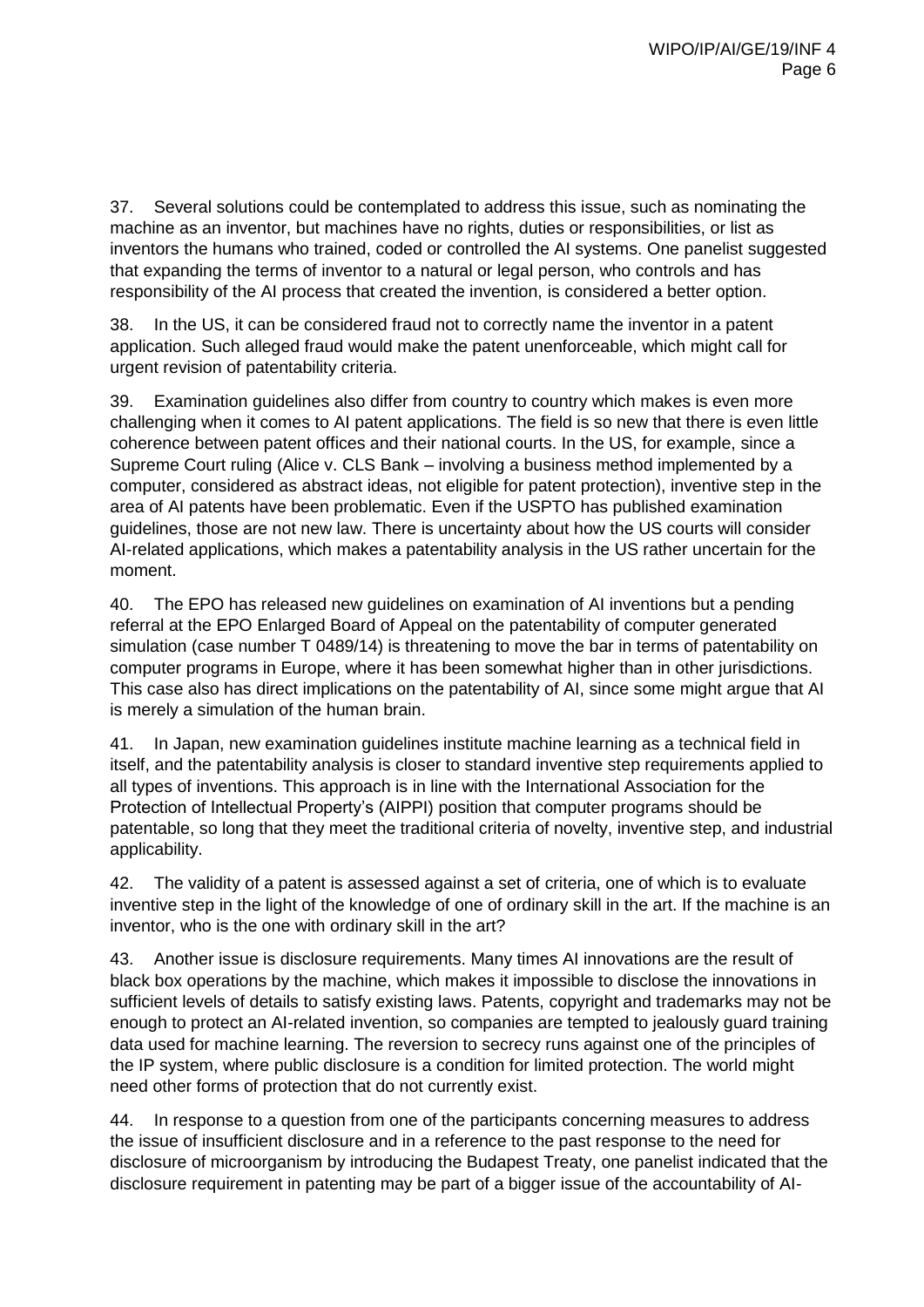37. Several solutions could be contemplated to address this issue, such as nominating the machine as an inventor, but machines have no rights, duties or responsibilities, or list as inventors the humans who trained, coded or controlled the AI systems. One panelist suggested that expanding the terms of inventor to a natural or legal person, who controls and has responsibility of the AI process that created the invention, is considered a better option.

38. In the US, it can be considered fraud not to correctly name the inventor in a patent application. Such alleged fraud would make the patent unenforceable, which might call for urgent revision of patentability criteria.

39. Examination guidelines also differ from country to country which makes is even more challenging when it comes to AI patent applications. The field is so new that there is even little coherence between patent offices and their national courts. In the US, for example, since a Supreme Court ruling (Alice v. CLS Bank – involving a business method implemented by a computer, considered as abstract ideas, not eligible for patent protection), inventive step in the area of AI patents have been problematic. Even if the USPTO has published examination guidelines, those are not new law. There is uncertainty about how the US courts will consider AI-related applications, which makes a patentability analysis in the US rather uncertain for the moment.

40. The EPO has released new guidelines on examination of AI inventions but a pending referral at the EPO Enlarged Board of Appeal on the patentability of computer generated simulation (case number T 0489/14) is threatening to move the bar in terms of patentability on computer programs in Europe, where it has been somewhat higher than in other jurisdictions. This case also has direct implications on the patentability of AI, since some might argue that AI is merely a simulation of the human brain.

41. In Japan, new examination guidelines institute machine learning as a technical field in itself, and the patentability analysis is closer to standard inventive step requirements applied to all types of inventions. This approach is in line with the International Association for the Protection of Intellectual Property's (AIPPI) position that computer programs should be patentable, so long that they meet the traditional criteria of novelty, inventive step, and industrial applicability.

42. The validity of a patent is assessed against a set of criteria, one of which is to evaluate inventive step in the light of the knowledge of one of ordinary skill in the art. If the machine is an inventor, who is the one with ordinary skill in the art?

43. Another issue is disclosure requirements. Many times AI innovations are the result of black box operations by the machine, which makes it impossible to disclose the innovations in sufficient levels of details to satisfy existing laws. Patents, copyright and trademarks may not be enough to protect an AI-related invention, so companies are tempted to jealously guard training data used for machine learning. The reversion to secrecy runs against one of the principles of the IP system, where public disclosure is a condition for limited protection. The world might need other forms of protection that do not currently exist.

44. In response to a question from one of the participants concerning measures to address the issue of insufficient disclosure and in a reference to the past response to the need for disclosure of microorganism by introducing the Budapest Treaty, one panelist indicated that the disclosure requirement in patenting may be part of a bigger issue of the accountability of AI-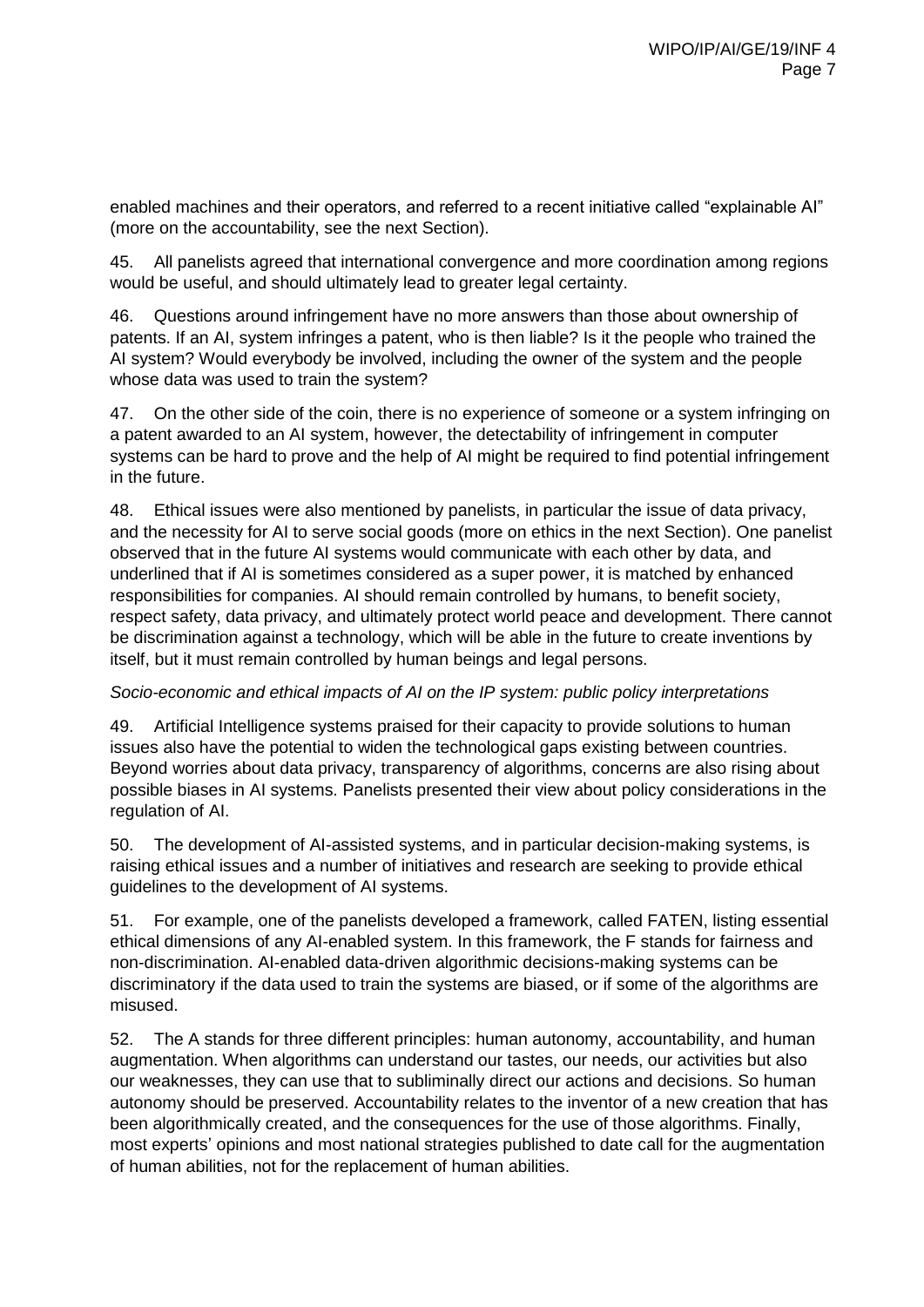enabled machines and their operators, and referred to a recent initiative called "explainable AI" (more on the accountability, see the next Section).

45. All panelists agreed that international convergence and more coordination among regions would be useful, and should ultimately lead to greater legal certainty.

46. Questions around infringement have no more answers than those about ownership of patents. If an AI, system infringes a patent, who is then liable? Is it the people who trained the AI system? Would everybody be involved, including the owner of the system and the people whose data was used to train the system?

47. On the other side of the coin, there is no experience of someone or a system infringing on a patent awarded to an AI system, however, the detectability of infringement in computer systems can be hard to prove and the help of AI might be required to find potential infringement in the future.

48. Ethical issues were also mentioned by panelists, in particular the issue of data privacy, and the necessity for AI to serve social goods (more on ethics in the next Section). One panelist observed that in the future AI systems would communicate with each other by data, and underlined that if AI is sometimes considered as a super power, it is matched by enhanced responsibilities for companies. AI should remain controlled by humans, to benefit society, respect safety, data privacy, and ultimately protect world peace and development. There cannot be discrimination against a technology, which will be able in the future to create inventions by itself, but it must remain controlled by human beings and legal persons.

#### *Socio-economic and ethical impacts of AI on the IP system: public policy interpretations*

49. Artificial Intelligence systems praised for their capacity to provide solutions to human issues also have the potential to widen the technological gaps existing between countries. Beyond worries about data privacy, transparency of algorithms, concerns are also rising about possible biases in AI systems. Panelists presented their view about policy considerations in the regulation of AI.

50. The development of AI-assisted systems, and in particular decision-making systems, is raising ethical issues and a number of initiatives and research are seeking to provide ethical guidelines to the development of AI systems.

51. For example, one of the panelists developed a framework, called FATEN, listing essential ethical dimensions of any AI-enabled system. In this framework, the F stands for fairness and non-discrimination. AI-enabled data-driven algorithmic decisions-making systems can be discriminatory if the data used to train the systems are biased, or if some of the algorithms are misused.

52. The A stands for three different principles: human autonomy, accountability, and human augmentation. When algorithms can understand our tastes, our needs, our activities but also our weaknesses, they can use that to subliminally direct our actions and decisions. So human autonomy should be preserved. Accountability relates to the inventor of a new creation that has been algorithmically created, and the consequences for the use of those algorithms. Finally, most experts' opinions and most national strategies published to date call for the augmentation of human abilities, not for the replacement of human abilities.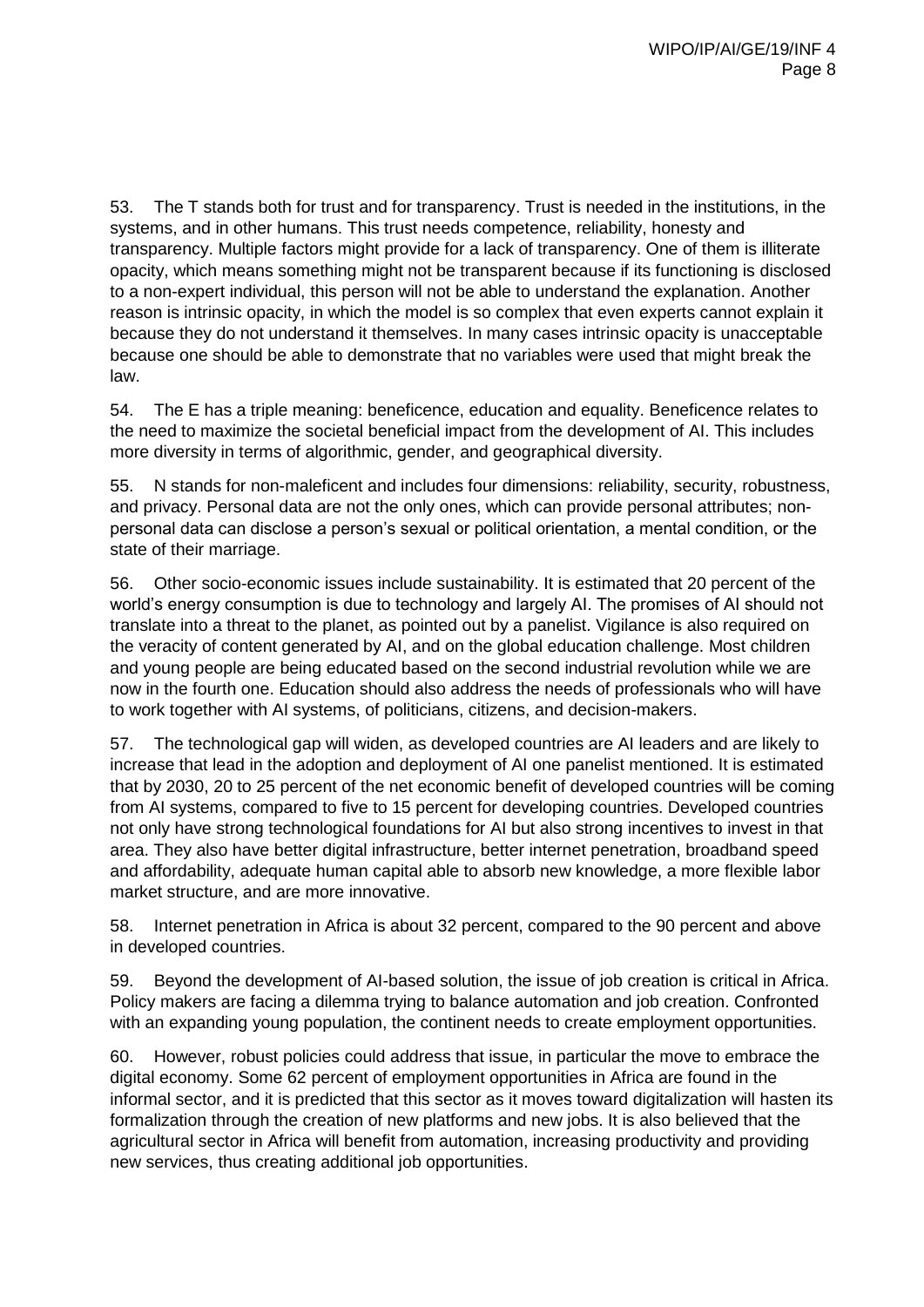53. The T stands both for trust and for transparency. Trust is needed in the institutions, in the systems, and in other humans. This trust needs competence, reliability, honesty and transparency. Multiple factors might provide for a lack of transparency. One of them is illiterate opacity, which means something might not be transparent because if its functioning is disclosed to a non-expert individual, this person will not be able to understand the explanation. Another reason is intrinsic opacity, in which the model is so complex that even experts cannot explain it because they do not understand it themselves. In many cases intrinsic opacity is unacceptable because one should be able to demonstrate that no variables were used that might break the law.

54. The E has a triple meaning: beneficence, education and equality. Beneficence relates to the need to maximize the societal beneficial impact from the development of AI. This includes more diversity in terms of algorithmic, gender, and geographical diversity.

55. N stands for non-maleficent and includes four dimensions: reliability, security, robustness, and privacy. Personal data are not the only ones, which can provide personal attributes; nonpersonal data can disclose a person's sexual or political orientation, a mental condition, or the state of their marriage.

56. Other socio-economic issues include sustainability. It is estimated that 20 percent of the world's energy consumption is due to technology and largely AI. The promises of AI should not translate into a threat to the planet, as pointed out by a panelist. Vigilance is also required on the veracity of content generated by AI, and on the global education challenge. Most children and young people are being educated based on the second industrial revolution while we are now in the fourth one. Education should also address the needs of professionals who will have to work together with AI systems, of politicians, citizens, and decision-makers.

57. The technological gap will widen, as developed countries are AI leaders and are likely to increase that lead in the adoption and deployment of AI one panelist mentioned. It is estimated that by 2030, 20 to 25 percent of the net economic benefit of developed countries will be coming from AI systems, compared to five to 15 percent for developing countries. Developed countries not only have strong technological foundations for AI but also strong incentives to invest in that area. They also have better digital infrastructure, better internet penetration, broadband speed and affordability, adequate human capital able to absorb new knowledge, a more flexible labor market structure, and are more innovative.

58. Internet penetration in Africa is about 32 percent, compared to the 90 percent and above in developed countries.

59. Beyond the development of AI-based solution, the issue of job creation is critical in Africa. Policy makers are facing a dilemma trying to balance automation and job creation. Confronted with an expanding young population, the continent needs to create employment opportunities.

60. However, robust policies could address that issue, in particular the move to embrace the digital economy. Some 62 percent of employment opportunities in Africa are found in the informal sector, and it is predicted that this sector as it moves toward digitalization will hasten its formalization through the creation of new platforms and new jobs. It is also believed that the agricultural sector in Africa will benefit from automation, increasing productivity and providing new services, thus creating additional job opportunities.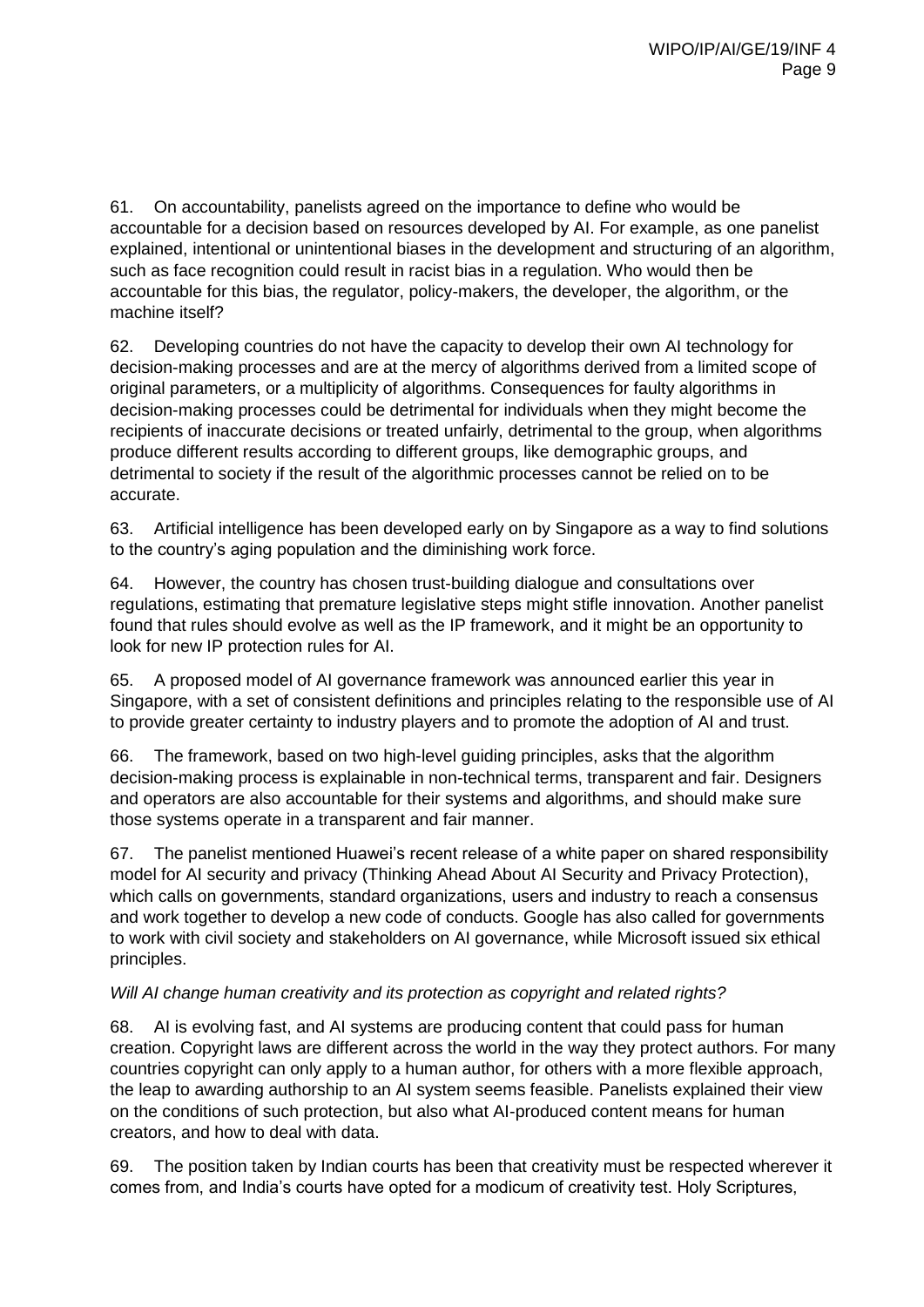61. On accountability, panelists agreed on the importance to define who would be accountable for a decision based on resources developed by AI. For example, as one panelist explained, intentional or unintentional biases in the development and structuring of an algorithm, such as face recognition could result in racist bias in a regulation. Who would then be accountable for this bias, the regulator, policy-makers, the developer, the algorithm, or the machine itself?

62. Developing countries do not have the capacity to develop their own AI technology for decision-making processes and are at the mercy of algorithms derived from a limited scope of original parameters, or a multiplicity of algorithms. Consequences for faulty algorithms in decision-making processes could be detrimental for individuals when they might become the recipients of inaccurate decisions or treated unfairly, detrimental to the group, when algorithms produce different results according to different groups, like demographic groups, and detrimental to society if the result of the algorithmic processes cannot be relied on to be accurate.

63. Artificial intelligence has been developed early on by Singapore as a way to find solutions to the country's aging population and the diminishing work force.

64. However, the country has chosen trust-building dialogue and consultations over regulations, estimating that premature legislative steps might stifle innovation. Another panelist found that rules should evolve as well as the IP framework, and it might be an opportunity to look for new IP protection rules for AI.

65. A proposed model of AI governance framework was announced earlier this year in Singapore, with a set of consistent definitions and principles relating to the responsible use of AI to provide greater certainty to industry players and to promote the adoption of AI and trust.

66. The framework, based on two high-level guiding principles, asks that the algorithm decision-making process is explainable in non-technical terms, transparent and fair. Designers and operators are also accountable for their systems and algorithms, and should make sure those systems operate in a transparent and fair manner.

67. The panelist mentioned Huawei's recent release of a white paper on shared responsibility model for AI security and privacy (Thinking Ahead About AI Security and Privacy Protection), which calls on governments, standard organizations, users and industry to reach a consensus and work together to develop a new code of conducts. Google has also called for governments to work with civil society and stakeholders on AI governance, while Microsoft issued six ethical principles.

# *Will AI change human creativity and its protection as copyright and related rights?*

68. AI is evolving fast, and AI systems are producing content that could pass for human creation. Copyright laws are different across the world in the way they protect authors. For many countries copyright can only apply to a human author, for others with a more flexible approach, the leap to awarding authorship to an AI system seems feasible. Panelists explained their view on the conditions of such protection, but also what AI-produced content means for human creators, and how to deal with data.

69. The position taken by Indian courts has been that creativity must be respected wherever it comes from, and India's courts have opted for a modicum of creativity test. Holy Scriptures,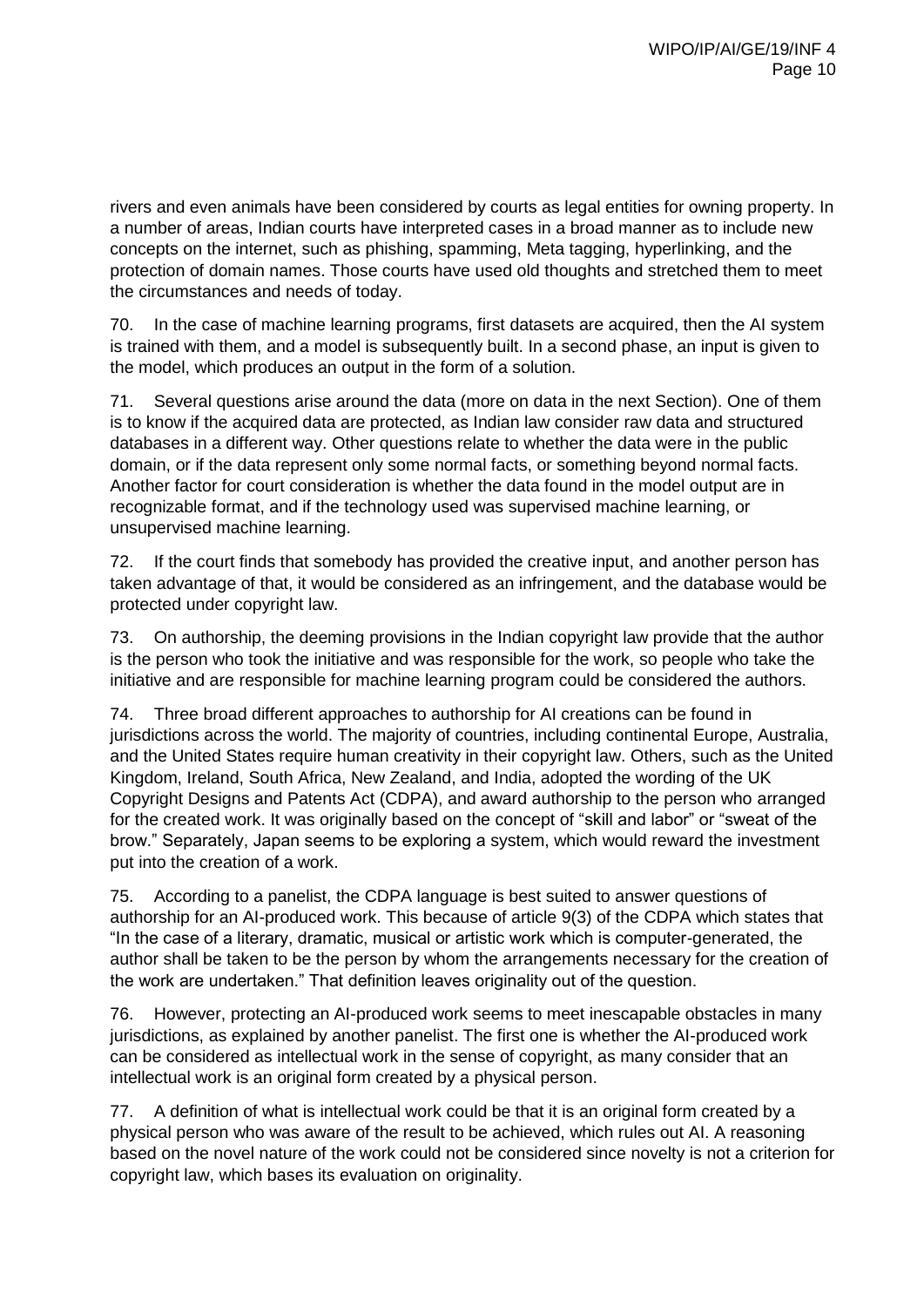rivers and even animals have been considered by courts as legal entities for owning property. In a number of areas, Indian courts have interpreted cases in a broad manner as to include new concepts on the internet, such as phishing, spamming, Meta tagging, hyperlinking, and the protection of domain names. Those courts have used old thoughts and stretched them to meet the circumstances and needs of today.

70. In the case of machine learning programs, first datasets are acquired, then the AI system is trained with them, and a model is subsequently built. In a second phase, an input is given to the model, which produces an output in the form of a solution.

71. Several questions arise around the data (more on data in the next Section). One of them is to know if the acquired data are protected, as Indian law consider raw data and structured databases in a different way. Other questions relate to whether the data were in the public domain, or if the data represent only some normal facts, or something beyond normal facts. Another factor for court consideration is whether the data found in the model output are in recognizable format, and if the technology used was supervised machine learning, or unsupervised machine learning.

72. If the court finds that somebody has provided the creative input, and another person has taken advantage of that, it would be considered as an infringement, and the database would be protected under copyright law.

73. On authorship, the deeming provisions in the Indian copyright law provide that the author is the person who took the initiative and was responsible for the work, so people who take the initiative and are responsible for machine learning program could be considered the authors.

74. Three broad different approaches to authorship for AI creations can be found in jurisdictions across the world. The majority of countries, including continental Europe, Australia, and the United States require human creativity in their copyright law. Others, such as the United Kingdom, Ireland, South Africa, New Zealand, and India, adopted the wording of the UK Copyright Designs and Patents Act (CDPA), and award authorship to the person who arranged for the created work. It was originally based on the concept of "skill and labor" or "sweat of the brow." Separately, Japan seems to be exploring a system, which would reward the investment put into the creation of a work.

75. According to a panelist, the CDPA language is best suited to answer questions of authorship for an AI-produced work. This because of article 9(3) of the CDPA which states that "In the case of a literary, dramatic, musical or artistic work which is computer-generated, the author shall be taken to be the person by whom the arrangements necessary for the creation of the work are undertaken." That definition leaves originality out of the question.

76. However, protecting an AI-produced work seems to meet inescapable obstacles in many jurisdictions, as explained by another panelist. The first one is whether the AI-produced work can be considered as intellectual work in the sense of copyright, as many consider that an intellectual work is an original form created by a physical person.

77. A definition of what is intellectual work could be that it is an original form created by a physical person who was aware of the result to be achieved, which rules out AI. A reasoning based on the novel nature of the work could not be considered since novelty is not a criterion for copyright law, which bases its evaluation on originality.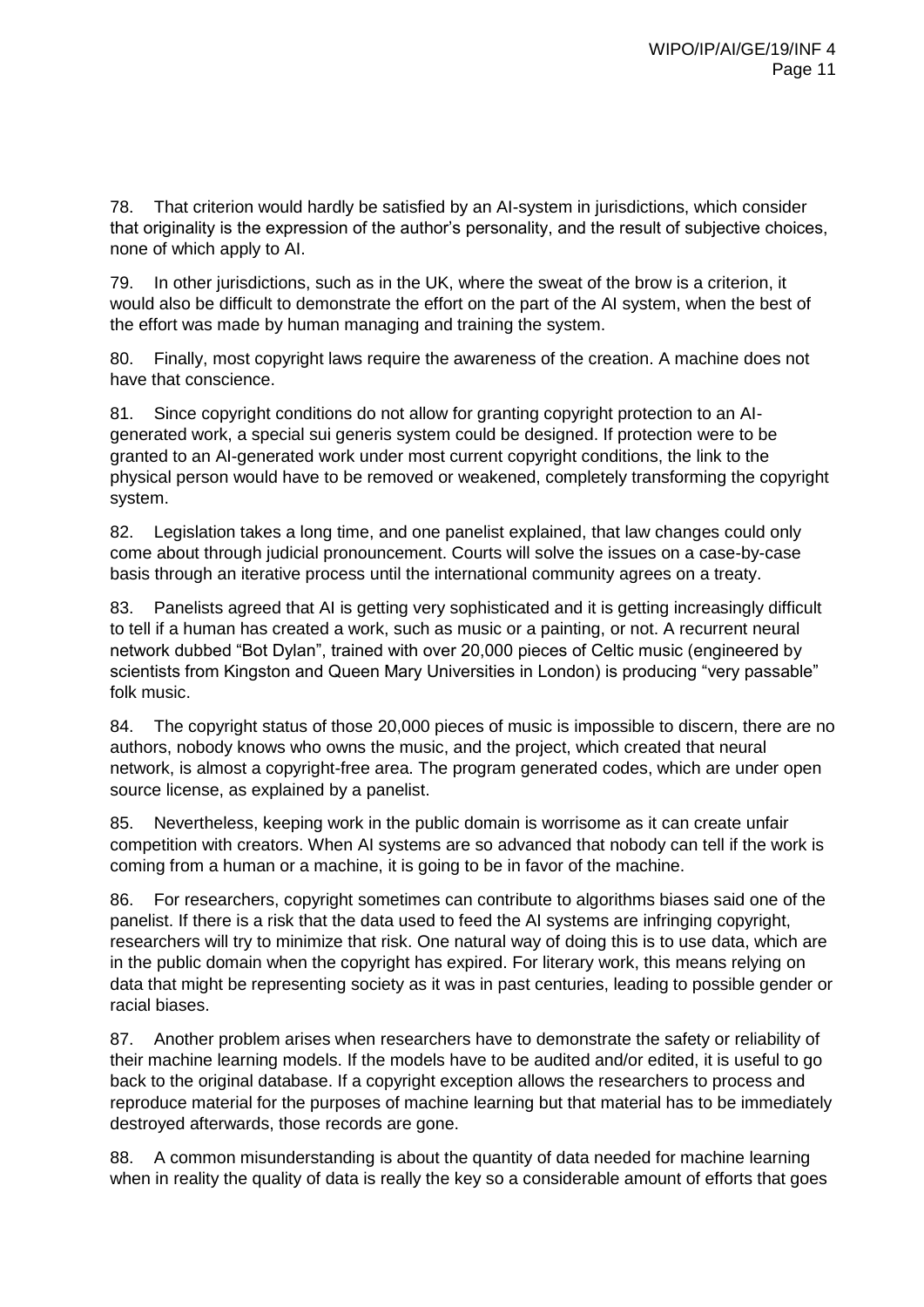78. That criterion would hardly be satisfied by an AI-system in jurisdictions, which consider that originality is the expression of the author's personality, and the result of subjective choices, none of which apply to AI.

79. In other jurisdictions, such as in the UK, where the sweat of the brow is a criterion, it would also be difficult to demonstrate the effort on the part of the AI system, when the best of the effort was made by human managing and training the system.

80. Finally, most copyright laws require the awareness of the creation. A machine does not have that conscience.

81. Since copyright conditions do not allow for granting copyright protection to an AIgenerated work, a special sui generis system could be designed. If protection were to be granted to an AI-generated work under most current copyright conditions, the link to the physical person would have to be removed or weakened, completely transforming the copyright system.

82. Legislation takes a long time, and one panelist explained, that law changes could only come about through judicial pronouncement. Courts will solve the issues on a case-by-case basis through an iterative process until the international community agrees on a treaty.

83. Panelists agreed that AI is getting very sophisticated and it is getting increasingly difficult to tell if a human has created a work, such as music or a painting, or not. A recurrent neural network dubbed "Bot Dylan", trained with over 20,000 pieces of Celtic music (engineered by scientists from Kingston and Queen Mary Universities in London) is producing "very passable" folk music.

84. The copyright status of those 20,000 pieces of music is impossible to discern, there are no authors, nobody knows who owns the music, and the project, which created that neural network, is almost a copyright-free area. The program generated codes, which are under open source license, as explained by a panelist.

85. Nevertheless, keeping work in the public domain is worrisome as it can create unfair competition with creators. When AI systems are so advanced that nobody can tell if the work is coming from a human or a machine, it is going to be in favor of the machine.

86. For researchers, copyright sometimes can contribute to algorithms biases said one of the panelist. If there is a risk that the data used to feed the AI systems are infringing copyright, researchers will try to minimize that risk. One natural way of doing this is to use data, which are in the public domain when the copyright has expired. For literary work, this means relying on data that might be representing society as it was in past centuries, leading to possible gender or racial biases.

87. Another problem arises when researchers have to demonstrate the safety or reliability of their machine learning models. If the models have to be audited and/or edited, it is useful to go back to the original database. If a copyright exception allows the researchers to process and reproduce material for the purposes of machine learning but that material has to be immediately destroyed afterwards, those records are gone.

88. A common misunderstanding is about the quantity of data needed for machine learning when in reality the quality of data is really the key so a considerable amount of efforts that goes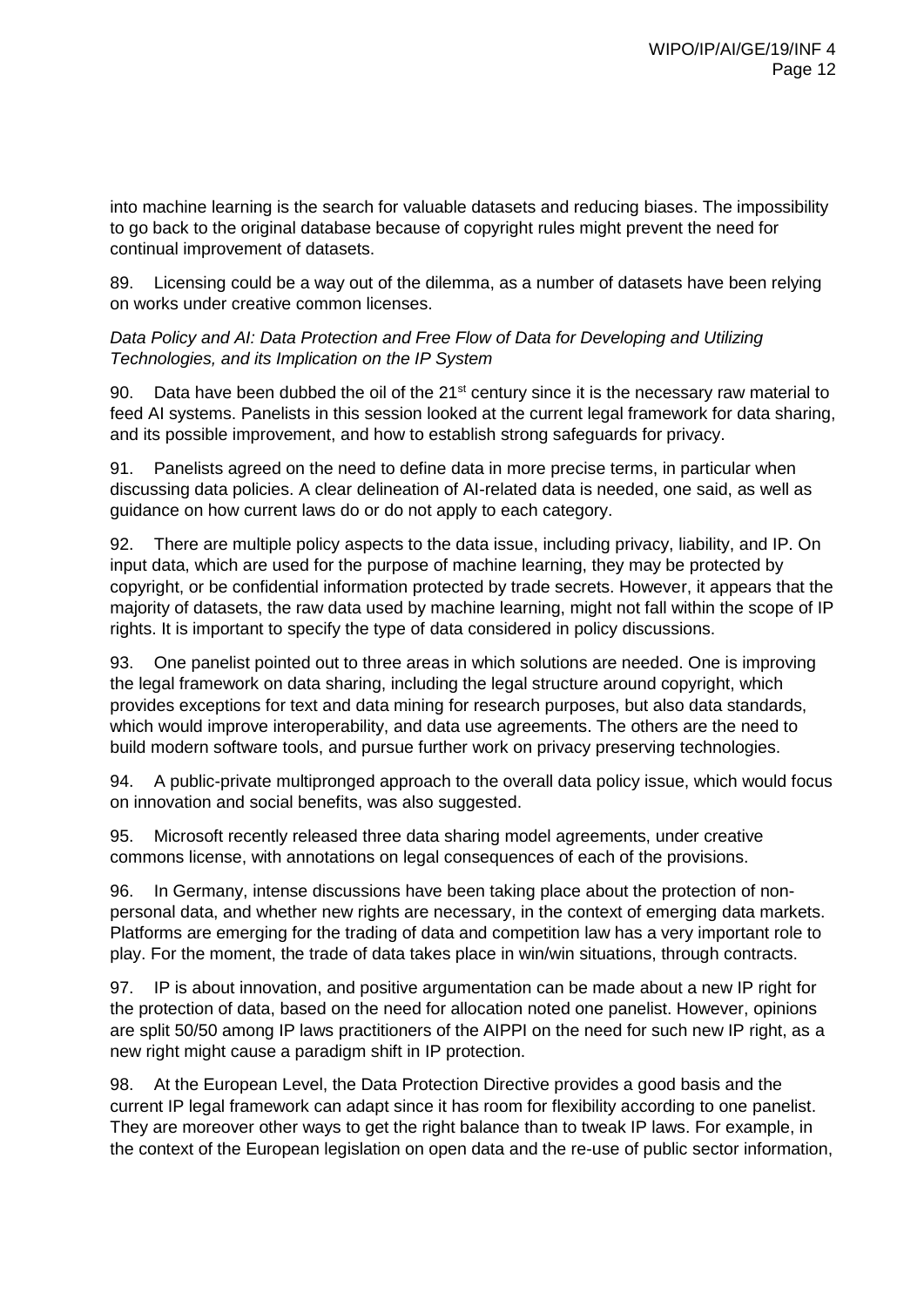into machine learning is the search for valuable datasets and reducing biases. The impossibility to go back to the original database because of copyright rules might prevent the need for continual improvement of datasets.

89. Licensing could be a way out of the dilemma, as a number of datasets have been relying on works under creative common licenses.

## *Data Policy and AI: Data Protection and Free Flow of Data for Developing and Utilizing Technologies, and its Implication on the IP System*

90. Data have been dubbed the oil of the  $21^{st}$  century since it is the necessary raw material to feed AI systems. Panelists in this session looked at the current legal framework for data sharing, and its possible improvement, and how to establish strong safeguards for privacy.

91. Panelists agreed on the need to define data in more precise terms, in particular when discussing data policies. A clear delineation of AI-related data is needed, one said, as well as guidance on how current laws do or do not apply to each category.

92. There are multiple policy aspects to the data issue, including privacy, liability, and IP. On input data, which are used for the purpose of machine learning, they may be protected by copyright, or be confidential information protected by trade secrets. However, it appears that the majority of datasets, the raw data used by machine learning, might not fall within the scope of IP rights. It is important to specify the type of data considered in policy discussions.

93. One panelist pointed out to three areas in which solutions are needed. One is improving the legal framework on data sharing, including the legal structure around copyright, which provides exceptions for text and data mining for research purposes, but also data standards, which would improve interoperability, and data use agreements. The others are the need to build modern software tools, and pursue further work on privacy preserving technologies.

94. A public-private multipronged approach to the overall data policy issue, which would focus on innovation and social benefits, was also suggested.

95. Microsoft recently released three data sharing model agreements, under creative commons license, with annotations on legal consequences of each of the provisions.

96. In Germany, intense discussions have been taking place about the protection of nonpersonal data, and whether new rights are necessary, in the context of emerging data markets. Platforms are emerging for the trading of data and competition law has a very important role to play. For the moment, the trade of data takes place in win/win situations, through contracts.

97. IP is about innovation, and positive argumentation can be made about a new IP right for the protection of data, based on the need for allocation noted one panelist. However, opinions are split 50/50 among IP laws practitioners of the AIPPI on the need for such new IP right, as a new right might cause a paradigm shift in IP protection.

98. At the European Level, the Data Protection Directive provides a good basis and the current IP legal framework can adapt since it has room for flexibility according to one panelist. They are moreover other ways to get the right balance than to tweak IP laws. For example, in the context of the European legislation on open data and the re-use of public sector information,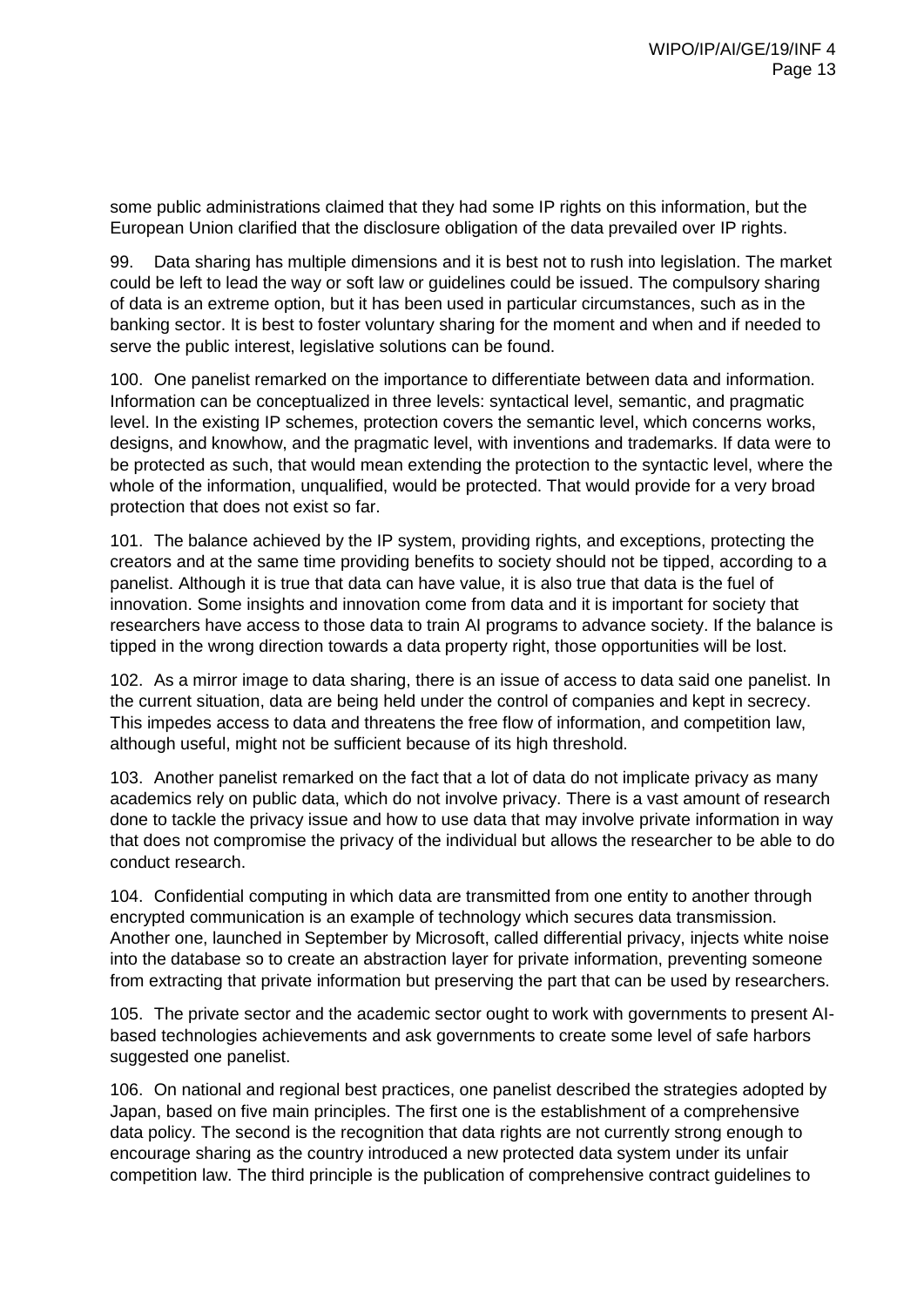some public administrations claimed that they had some IP rights on this information, but the European Union clarified that the disclosure obligation of the data prevailed over IP rights.

99. Data sharing has multiple dimensions and it is best not to rush into legislation. The market could be left to lead the way or soft law or guidelines could be issued. The compulsory sharing of data is an extreme option, but it has been used in particular circumstances, such as in the banking sector. It is best to foster voluntary sharing for the moment and when and if needed to serve the public interest, legislative solutions can be found.

100. One panelist remarked on the importance to differentiate between data and information. Information can be conceptualized in three levels: syntactical level, semantic, and pragmatic level. In the existing IP schemes, protection covers the semantic level, which concerns works, designs, and knowhow, and the pragmatic level, with inventions and trademarks. If data were to be protected as such, that would mean extending the protection to the syntactic level, where the whole of the information, unqualified, would be protected. That would provide for a very broad protection that does not exist so far.

101. The balance achieved by the IP system, providing rights, and exceptions, protecting the creators and at the same time providing benefits to society should not be tipped, according to a panelist. Although it is true that data can have value, it is also true that data is the fuel of innovation. Some insights and innovation come from data and it is important for society that researchers have access to those data to train AI programs to advance society. If the balance is tipped in the wrong direction towards a data property right, those opportunities will be lost.

102. As a mirror image to data sharing, there is an issue of access to data said one panelist. In the current situation, data are being held under the control of companies and kept in secrecy. This impedes access to data and threatens the free flow of information, and competition law, although useful, might not be sufficient because of its high threshold.

103. Another panelist remarked on the fact that a lot of data do not implicate privacy as many academics rely on public data, which do not involve privacy. There is a vast amount of research done to tackle the privacy issue and how to use data that may involve private information in way that does not compromise the privacy of the individual but allows the researcher to be able to do conduct research.

104. Confidential computing in which data are transmitted from one entity to another through encrypted communication is an example of technology which secures data transmission. Another one, launched in September by Microsoft, called differential privacy, injects white noise into the database so to create an abstraction layer for private information, preventing someone from extracting that private information but preserving the part that can be used by researchers.

105. The private sector and the academic sector ought to work with governments to present AIbased technologies achievements and ask governments to create some level of safe harbors suggested one panelist.

106. On national and regional best practices, one panelist described the strategies adopted by Japan, based on five main principles. The first one is the establishment of a comprehensive data policy. The second is the recognition that data rights are not currently strong enough to encourage sharing as the country introduced a new protected data system under its unfair competition law. The third principle is the publication of comprehensive contract guidelines to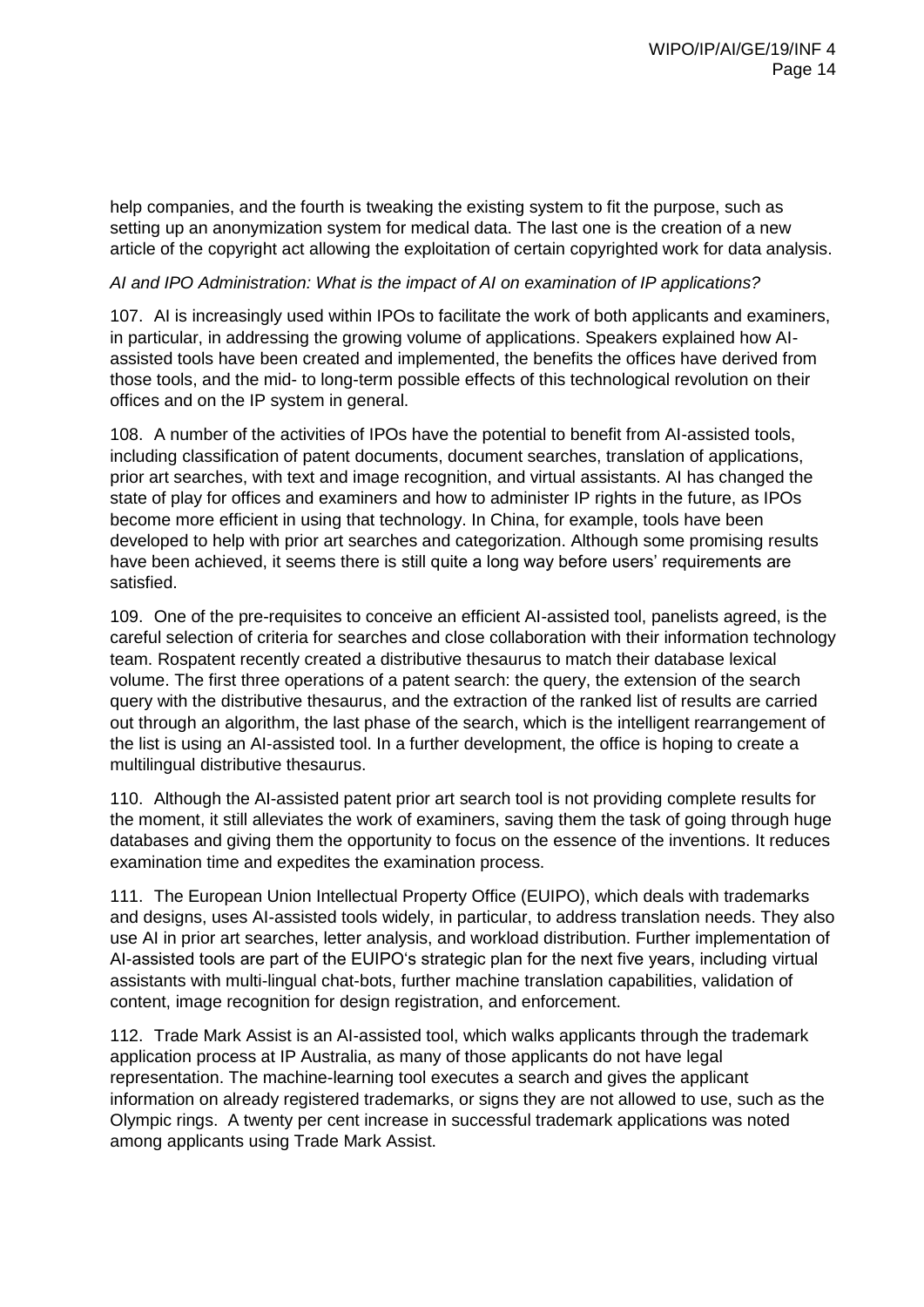help companies, and the fourth is tweaking the existing system to fit the purpose, such as setting up an anonymization system for medical data. The last one is the creation of a new article of the copyright act allowing the exploitation of certain copyrighted work for data analysis.

## *AI and IPO Administration: What is the impact of AI on examination of IP applications?*

107. AI is increasingly used within IPOs to facilitate the work of both applicants and examiners, in particular, in addressing the growing volume of applications. Speakers explained how AIassisted tools have been created and implemented, the benefits the offices have derived from those tools, and the mid- to long-term possible effects of this technological revolution on their offices and on the IP system in general.

108. A number of the activities of IPOs have the potential to benefit from AI-assisted tools, including classification of patent documents, document searches, translation of applications, prior art searches, with text and image recognition, and virtual assistants. AI has changed the state of play for offices and examiners and how to administer IP rights in the future, as IPOs become more efficient in using that technology. In China, for example, tools have been developed to help with prior art searches and categorization. Although some promising results have been achieved, it seems there is still quite a long way before users' requirements are satisfied.

109. One of the pre-requisites to conceive an efficient AI-assisted tool, panelists agreed, is the careful selection of criteria for searches and close collaboration with their information technology team. Rospatent recently created a distributive thesaurus to match their database lexical volume. The first three operations of a patent search: the query, the extension of the search query with the distributive thesaurus, and the extraction of the ranked list of results are carried out through an algorithm, the last phase of the search, which is the intelligent rearrangement of the list is using an AI-assisted tool. In a further development, the office is hoping to create a multilingual distributive thesaurus.

110. Although the AI-assisted patent prior art search tool is not providing complete results for the moment, it still alleviates the work of examiners, saving them the task of going through huge databases and giving them the opportunity to focus on the essence of the inventions. It reduces examination time and expedites the examination process.

111. The European Union Intellectual Property Office (EUIPO), which deals with trademarks and designs, uses AI-assisted tools widely, in particular, to address translation needs. They also use AI in prior art searches, letter analysis, and workload distribution. Further implementation of AI-assisted tools are part of the EUIPO's strategic plan for the next five years, including virtual assistants with multi-lingual chat-bots, further machine translation capabilities, validation of content, image recognition for design registration, and enforcement.

112. Trade Mark Assist is an AI-assisted tool, which walks applicants through the trademark application process at IP Australia, as many of those applicants do not have legal representation. The machine-learning tool executes a search and gives the applicant information on already registered trademarks, or signs they are not allowed to use, such as the Olympic rings. A twenty per cent increase in successful trademark applications was noted among applicants using Trade Mark Assist.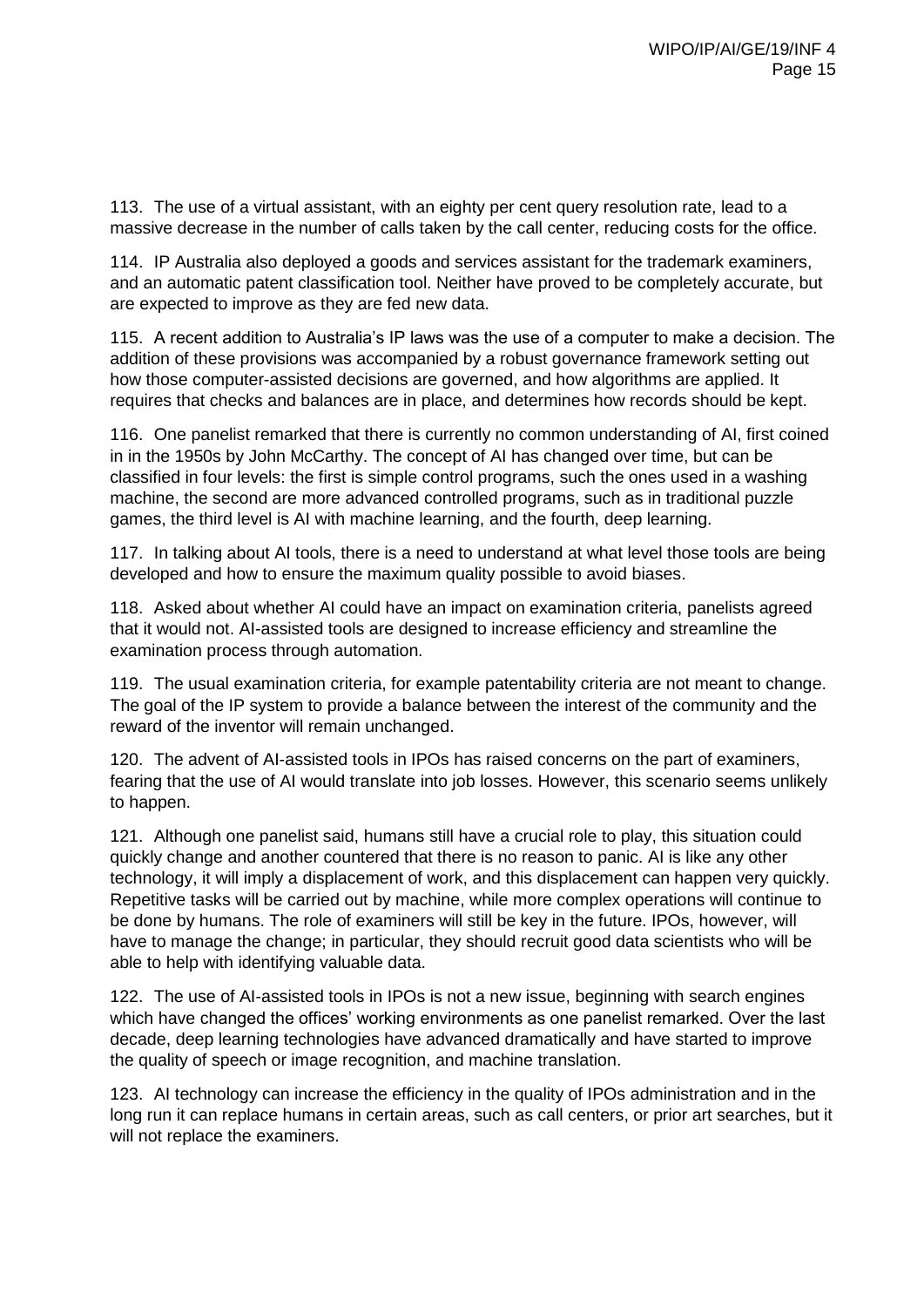113. The use of a virtual assistant, with an eighty per cent query resolution rate, lead to a massive decrease in the number of calls taken by the call center, reducing costs for the office.

114. IP Australia also deployed a goods and services assistant for the trademark examiners, and an automatic patent classification tool. Neither have proved to be completely accurate, but are expected to improve as they are fed new data.

115. A recent addition to Australia's IP laws was the use of a computer to make a decision. The addition of these provisions was accompanied by a robust governance framework setting out how those computer-assisted decisions are governed, and how algorithms are applied. It requires that checks and balances are in place, and determines how records should be kept.

116. One panelist remarked that there is currently no common understanding of AI, first coined in in the 1950s by John McCarthy. The concept of AI has changed over time, but can be classified in four levels: the first is simple control programs, such the ones used in a washing machine, the second are more advanced controlled programs, such as in traditional puzzle games, the third level is AI with machine learning, and the fourth, deep learning.

117. In talking about AI tools, there is a need to understand at what level those tools are being developed and how to ensure the maximum quality possible to avoid biases.

118. Asked about whether AI could have an impact on examination criteria, panelists agreed that it would not. AI-assisted tools are designed to increase efficiency and streamline the examination process through automation.

119. The usual examination criteria, for example patentability criteria are not meant to change. The goal of the IP system to provide a balance between the interest of the community and the reward of the inventor will remain unchanged.

120. The advent of AI-assisted tools in IPOs has raised concerns on the part of examiners, fearing that the use of AI would translate into job losses. However, this scenario seems unlikely to happen.

121. Although one panelist said, humans still have a crucial role to play, this situation could quickly change and another countered that there is no reason to panic. AI is like any other technology, it will imply a displacement of work, and this displacement can happen very quickly. Repetitive tasks will be carried out by machine, while more complex operations will continue to be done by humans. The role of examiners will still be key in the future. IPOs, however, will have to manage the change; in particular, they should recruit good data scientists who will be able to help with identifying valuable data.

122. The use of AI-assisted tools in IPOs is not a new issue, beginning with search engines which have changed the offices' working environments as one panelist remarked. Over the last decade, deep learning technologies have advanced dramatically and have started to improve the quality of speech or image recognition, and machine translation.

123. AI technology can increase the efficiency in the quality of IPOs administration and in the long run it can replace humans in certain areas, such as call centers, or prior art searches, but it will not replace the examiners.